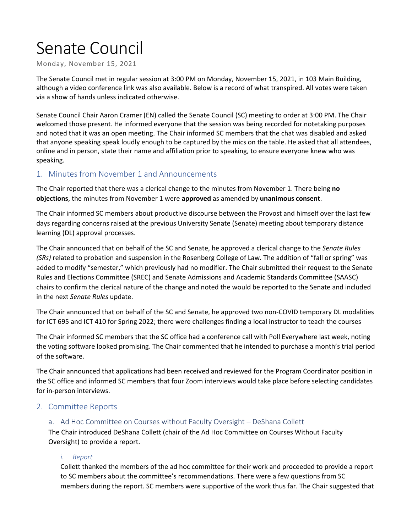# Senate Council

Monday, November 15, 2021

The Senate Council met in regular session at 3:00 PM on Monday, November 15, 2021, in 103 Main Building, although a video conference link was also available. Below is a record of what transpired. All votes were taken via a show of hands unless indicated otherwise.

Senate Council Chair Aaron Cramer (EN) called the Senate Council (SC) meeting to order at 3:00 PM. The Chair welcomed those present. He informed everyone that the session was being recorded for notetaking purposes and noted that it was an open meeting. The Chair informed SC members that the chat was disabled and asked that anyone speaking speak loudly enough to be captured by the mics on the table. He asked that all attendees, online and in person, state their name and affiliation prior to speaking, to ensure everyone knew who was speaking.

## 1. Minutes from November 1 and Announcements

The Chair reported that there was a clerical change to the minutes from November 1. There being **no objections**, the minutes from November 1 were **approved** as amended by **unanimous consent**.

The Chair informed SC members about productive discourse between the Provost and himself over the last few days regarding concerns raised at the previous University Senate (Senate) meeting about temporary distance learning (DL) approval processes.

The Chair announced that on behalf of the SC and Senate, he approved a clerical change to the *Senate Rules (SRs)* related to probation and suspension in the Rosenberg College of Law. The addition of "fall or spring" was added to modify "semester," which previously had no modifier. The Chair submitted their request to the Senate Rules and Elections Committee (SREC) and Senate Admissions and Academic Standards Committee (SAASC) chairs to confirm the clerical nature of the change and noted the would be reported to the Senate and included in the next *Senate Rules* update.

The Chair announced that on behalf of the SC and Senate, he approved two non-COVID temporary DL modalities for ICT 695 and ICT 410 for Spring 2022; there were challenges finding a local instructor to teach the courses

The Chair informed SC members that the SC office had a conference call with Poll Everywhere last week, noting the voting software looked promising. The Chair commented that he intended to purchase a month's trial period of the software.

The Chair announced that applications had been received and reviewed for the Program Coordinator position in the SC office and informed SC members that four Zoom interviews would take place before selecting candidates for in-person interviews.

### 2. Committee Reports

### a. Ad Hoc Committee on Courses without Faculty Oversight – DeShana Collett

The Chair introduced DeShana Collett (chair of the Ad Hoc Committee on Courses Without Faculty Oversight) to provide a report.

#### *i. Report*

Collett thanked the members of the ad hoc committee for their work and proceeded to provide a report to SC members about the committee's recommendations. There were a few questions from SC members during the report. SC members were supportive of the work thus far. The Chair suggested that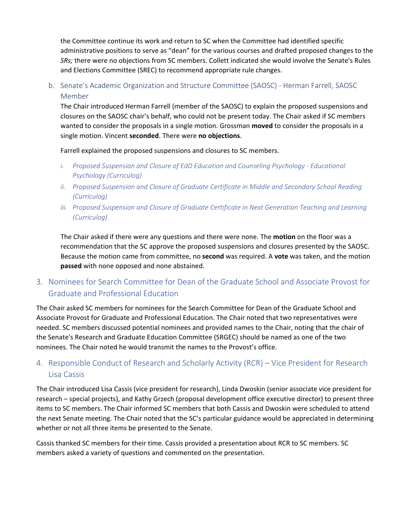the Committee continue its work and return to SC when the Committee had identified specific administrative positions to serve as "dean" for the various courses and drafted proposed changes to the *SRs;* there were no objections from SC members. Collett indicated she would involve the Senate's Rules and Elections Committee (SREC) to recommend appropriate rule changes.

b. Senate's Academic Organization and Structure Committee (SAOSC) - Herman Farrell, SAOSC Member

The Chair introduced Herman Farrell (member of the SAOSC) to explain the proposed suspensions and closures on the SAOSC chair's behalf, who could not be present today. The Chair asked if SC members wanted to consider the proposals in a single motion. Grossman **moved** to consider the proposals in a single motion. Vincent **seconded**. There were **no objections**.

Farrell explained the proposed suspensions and closures to SC members.

- *i. Proposed Suspension and Closure of EdD Education and Counseling Psychology - Educational Psychology (Curriculog)*
- *ii. Proposed Suspension and Closure of Graduate Certificate in Middle and Secondary School Reading (Curriculog)*
- *iii. Proposed Suspension and Closure of Graduate Certificate in Next Generation Teaching and Learning (Curriculog)*

The Chair asked if there were any questions and there were none. The **motion** on the floor was a recommendation that the SC approve the proposed suspensions and closures presented by the SAOSC. Because the motion came from committee, no **second** was required. A **vote** was taken, and the motion **passed** with none opposed and none abstained.

# 3. Nominees for Search Committee for Dean of the Graduate School and Associate Provost for Graduate and Professional Education

The Chair asked SC members for nominees for the Search Committee for Dean of the Graduate School and Associate Provost for Graduate and Professional Education. The Chair noted that two representatives were needed. SC members discussed potential nominees and provided names to the Chair, noting that the chair of the Senate's Research and Graduate Education Committee (SRGEC) should be named as one of the two nominees. The Chair noted he would transmit the names to the Provost's office.

# 4. Responsible Conduct of Research and Scholarly Activity (RCR) – Vice President for Research Lisa Cassis

The Chair introduced Lisa Cassis (vice president for research), Linda Dwoskin (senior associate vice president for research – special projects), and Kathy Grzech (proposal development office executive director) to present three items to SC members. The Chair informed SC members that both Cassis and Dwoskin were scheduled to attend the next Senate meeting. The Chair noted that the SC's particular guidance would be appreciated in determining whether or not all three items be presented to the Senate.

Cassis thanked SC members for their time. Cassis provided a presentation about RCR to SC members. SC members asked a variety of questions and commented on the presentation.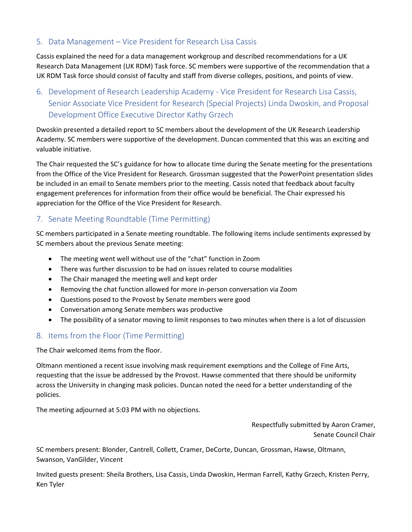## 5. Data Management – Vice President for Research Lisa Cassis

Cassis explained the need for a data management workgroup and described recommendations for a UK Research Data Management (UK RDM) Task force. SC members were supportive of the recommendation that a UK RDM Task force should consist of faculty and staff from diverse colleges, positions, and points of view.

6. Development of Research Leadership Academy - Vice President for Research Lisa Cassis, Senior Associate Vice President for Research (Special Projects) Linda Dwoskin, and Proposal Development Office Executive Director Kathy Grzech

Dwoskin presented a detailed report to SC members about the development of the UK Research Leadership Academy. SC members were supportive of the development. Duncan commented that this was an exciting and valuable initiative.

The Chair requested the SC's guidance for how to allocate time during the Senate meeting for the presentations from the Office of the Vice President for Research. Grossman suggested that the PowerPoint presentation slides be included in an email to Senate members prior to the meeting. Cassis noted that feedback about faculty engagement preferences for information from their office would be beneficial. The Chair expressed his appreciation for the Office of the Vice President for Research.

# 7. Senate Meeting Roundtable (Time Permitting)

SC members participated in a Senate meeting roundtable. The following items include sentiments expressed by SC members about the previous Senate meeting:

- The meeting went well without use of the "chat" function in Zoom
- There was further discussion to be had on issues related to course modalities
- The Chair managed the meeting well and kept order
- Removing the chat function allowed for more in-person conversation via Zoom
- Questions posed to the Provost by Senate members were good
- Conversation among Senate members was productive
- The possibility of a senator moving to limit responses to two minutes when there is a lot of discussion

## 8. Items from the Floor (Time Permitting)

The Chair welcomed items from the floor.

Oltmann mentioned a recent issue involving mask requirement exemptions and the College of Fine Arts, requesting that the issue be addressed by the Provost. Hawse commented that there should be uniformity across the University in changing mask policies. Duncan noted the need for a better understanding of the policies.

The meeting adjourned at 5:03 PM with no objections.

Respectfully submitted by Aaron Cramer, Senate Council Chair

SC members present: Blonder, Cantrell, Collett, Cramer, DeCorte, Duncan, Grossman, Hawse, Oltmann, Swanson, VanGilder, Vincent

Invited guests present: Sheila Brothers, Lisa Cassis, Linda Dwoskin, Herman Farrell, Kathy Grzech, Kristen Perry, Ken Tyler